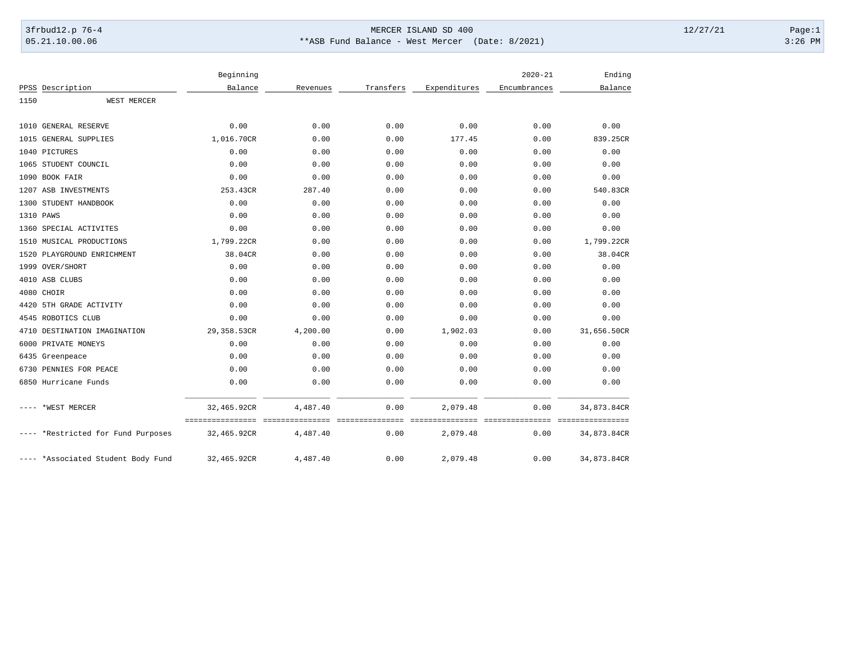## 3frbud12.p 76-4 Page:1 05.21.10.00.06 \*\*ASB Fund Balance - West Mercer (Date: 8/2021) 3:26 PM

|      |                                    | Beginning                       |                             |           |              | $2020 - 21$             | Ending                          |
|------|------------------------------------|---------------------------------|-----------------------------|-----------|--------------|-------------------------|---------------------------------|
|      | PPSS Description                   | Balance                         | Revenues                    | Transfers | Expenditures | Encumbrances            | Balance                         |
| 1150 | WEST MERCER                        |                                 |                             |           |              |                         |                                 |
| 1010 | <b>GENERAL RESERVE</b>             | 0.00                            | 0.00                        | 0.00      | 0.00         | 0.00                    | 0.00                            |
|      | 1015 GENERAL SUPPLIES              | 1,016.70CR                      | 0.00                        | 0.00      | 177.45       | 0.00                    | 839.25CR                        |
|      | 1040 PICTURES                      | 0.00                            | 0.00                        | 0.00      | 0.00         | 0.00                    | 0.00                            |
|      | 1065 STUDENT COUNCIL               | 0.00                            | 0.00                        | 0.00      | 0.00         | 0.00                    | 0.00                            |
|      | 1090 BOOK FAIR                     | 0.00                            | 0.00                        | 0.00      | 0.00         | 0.00                    | 0.00                            |
|      | 1207 ASB INVESTMENTS               | 253.43CR                        | 287.40                      | 0.00      | 0.00         | 0.00                    | 540.83CR                        |
|      | 1300 STUDENT HANDBOOK              | 0.00                            | 0.00                        | 0.00      | 0.00         | 0.00                    | 0.00                            |
|      | 1310 PAWS                          | 0.00                            | 0.00                        | 0.00      | 0.00         | 0.00                    | 0.00                            |
|      | 1360 SPECIAL ACTIVITES             | 0.00                            | 0.00                        | 0.00      | 0.00         | 0.00                    | 0.00                            |
|      | 1510 MUSICAL PRODUCTIONS           | 1,799.22CR                      | 0.00                        | 0.00      | 0.00         | 0.00                    | 1,799.22CR                      |
|      | 1520 PLAYGROUND ENRICHMENT         | 38.04CR                         | 0.00                        | 0.00      | 0.00         | 0.00                    | 38.04CR                         |
|      | 1999 OVER/SHORT                    | 0.00                            | 0.00                        | 0.00      | 0.00         | 0.00                    | 0.00                            |
|      | 4010 ASB CLUBS                     | 0.00                            | 0.00                        | 0.00      | 0.00         | 0.00                    | 0.00                            |
|      | 4080 CHOIR                         | 0.00                            | 0.00                        | 0.00      | 0.00         | 0.00                    | 0.00                            |
|      | 4420 5TH GRADE ACTIVITY            | 0.00                            | 0.00                        | 0.00      | 0.00         | 0.00                    | 0.00                            |
|      | 4545 ROBOTICS CLUB                 | 0.00                            | 0.00                        | 0.00      | 0.00         | 0.00                    | 0.00                            |
|      | 4710 DESTINATION IMAGINATION       | 29,358.53CR                     | 4,200.00                    | 0.00      | 1,902.03     | 0.00                    | 31,656.50CR                     |
| 6000 | PRIVATE MONEYS                     | 0.00                            | 0.00                        | 0.00      | 0.00         | 0.00                    | 0.00                            |
|      | 6435 Greenpeace                    | 0.00                            | 0.00                        | 0.00      | 0.00         | 0.00                    | 0.00                            |
|      | 6730 PENNIES FOR PEACE             | 0.00                            | 0.00                        | 0.00      | 0.00         | 0.00                    | 0.00                            |
|      | 6850 Hurricane Funds               | 0.00                            | 0.00                        | 0.00      | 0.00         | 0.00                    | 0.00                            |
|      | *WEST MERCER                       | 32,465.92CR                     | 4,487.40                    | 0.00      | 2,079.48     | 0.00                    | 34,873.84CR                     |
|      | *Restricted for Fund Purposes      | ================<br>32,465.92CR | ===============<br>4,487.40 | 0.00      | 2,079.48     | ===============<br>0.00 | ----------------<br>34,873.84CR |
|      | ---- *Associated Student Body Fund | 32,465.92CR                     | 4,487.40                    | 0.00      | 2,079.48     | 0.00                    | 34,873.84CR                     |